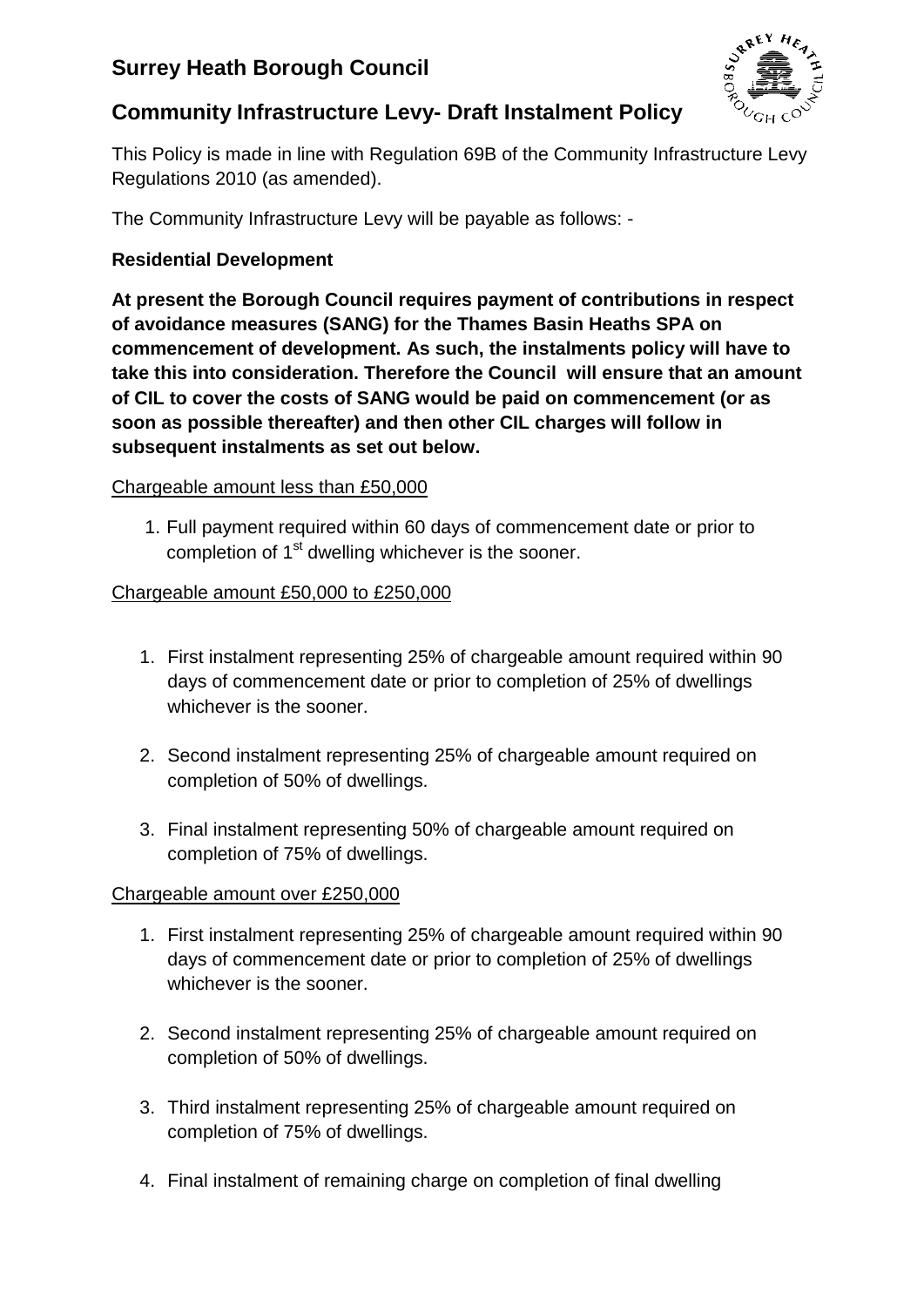# **Surrey Heath Borough Council**



# **Community Infrastructure Levy- Draft Instalment Policy**

This Policy is made in line with Regulation 69B of the Community Infrastructure Levy Regulations 2010 (as amended).

The Community Infrastructure Levy will be payable as follows: -

# **Residential Development**

**At present the Borough Council requires payment of contributions in respect of avoidance measures (SANG) for the Thames Basin Heaths SPA on commencement of development. As such, the instalments policy will have to take this into consideration. Therefore the Council will ensure that an amount of CIL to cover the costs of SANG would be paid on commencement (or as soon as possible thereafter) and then other CIL charges will follow in subsequent instalments as set out below.**

# Chargeable amount less than £50,000

1. Full payment required within 60 days of commencement date or prior to completion of 1<sup>st</sup> dwelling whichever is the sooner.

# Chargeable amount £50,000 to £250,000

- 1. First instalment representing 25% of chargeable amount required within 90 days of commencement date or prior to completion of 25% of dwellings whichever is the sooner.
- 2. Second instalment representing 25% of chargeable amount required on completion of 50% of dwellings.
- 3. Final instalment representing 50% of chargeable amount required on completion of 75% of dwellings.

## Chargeable amount over £250,000

- 1. First instalment representing 25% of chargeable amount required within 90 days of commencement date or prior to completion of 25% of dwellings whichever is the sooner.
- 2. Second instalment representing 25% of chargeable amount required on completion of 50% of dwellings.
- 3. Third instalment representing 25% of chargeable amount required on completion of 75% of dwellings.
- 4. Final instalment of remaining charge on completion of final dwelling